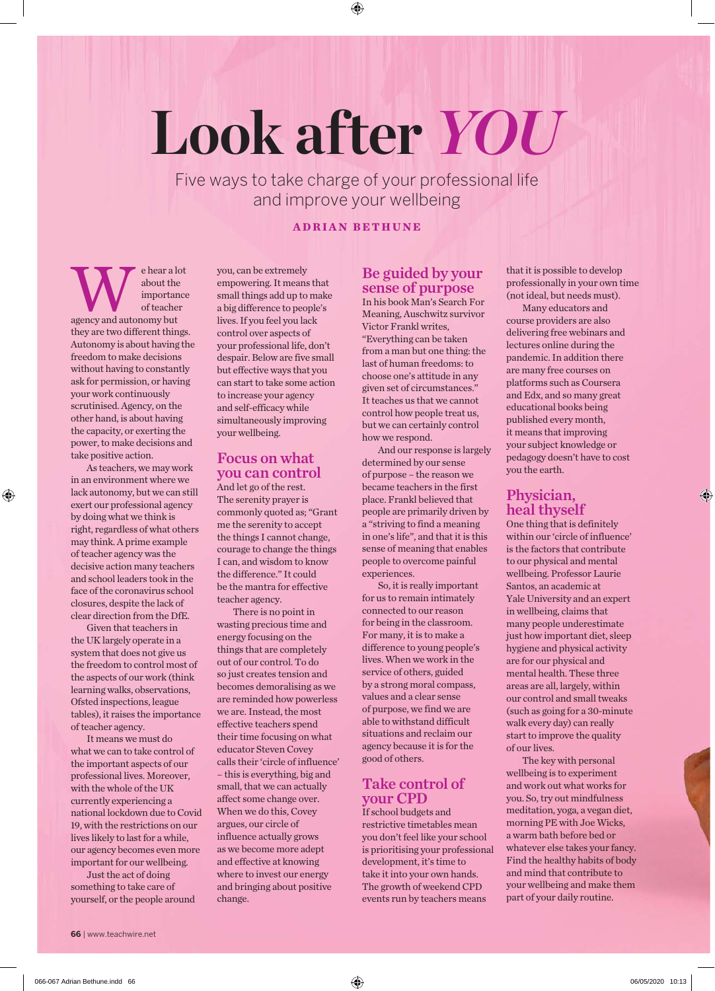# **Look after** *YOU*

Five ways to take charge of your professional life and improve your wellbeing

## **ADRIAN BETHUNE**

e hear a lot<br>
about the<br>
of teacher<br>
agency and autonomy but about the importance of teacher they are two different things. Autonomy is about having the freedom to make decisions without having to constantly ask for permission, or having your work continuously scrutinised. Agency, on the other hand, is about having the capacity, or exerting the power, to make decisions and take positive action.

As teachers, we may work in an environment where we lack autonomy, but we can still exert our professional agency by doing what we think is right, regardless of what others may think. A prime example of teacher agency was the decisive action many teachers and school leaders took in the face of the coronavirus school closures, despite the lack of clear direction from the DfE.

Given that teachers in the UK largely operate in a system that does not give us the freedom to control most of the aspects of our work (think learning walks, observations, Ofsted inspections, league tables), it raises the importance of teacher agency.

It means we must do what we can to take control of the important aspects of our professional lives. Moreover, with the whole of the UK currently experiencing a national lockdown due to Covid 19, with the restrictions on our lives likely to last for a while, our agency becomes even more important for our wellbeing.

Just the act of doing something to take care of yourself, or the people around you, can be extremely empowering. It means that small things add up to make a big difference to people's lives. If you feel you lack control over aspects of your professional life, don't despair. Below are five small but effective ways that you can start to take some action to increase your agency and self-efficacy while simultaneously improving your wellbeing.

#### Focus on what you can control

And let go of the rest. The serenity prayer is commonly quoted as; "Grant me the serenity to accept the things I cannot change, courage to change the things I can, and wisdom to know the difference." It could be the mantra for effective teacher agency.

There is no point in wasting precious time and energy focusing on the things that are completely out of our control. To do so just creates tension and becomes demoralising as we are reminded how powerless we are. Instead, the most effective teachers spend their time focusing on what educator Steven Covey calls their 'circle of influence' – this is everything, big and small, that we can actually affect some change over. When we do this, Covey argues, our circle of influence actually grows as we become more adept and effective at knowing where to invest our energy and bringing about positive change.

# Be guided by your sense of purpose

In his book Man's Search For Meaning, Auschwitz survivor Victor Frankl writes, "Everything can be taken from a man but one thing: the last of human freedoms: to choose one's attitude in any given set of circumstances." It teaches us that we cannot control how people treat us, but we can certainly control how we respond.

And our response is largely determined by our sense of purpose – the reason we became teachers in the first place. Frankl believed that people are primarily driven by a "striving to find a meaning in one's life", and that it is this sense of meaning that enables people to overcome painful experiences.

So, it is really important for us to remain intimately connected to our reason for being in the classroom. For many, it is to make a difference to young people's lives. When we work in the service of others, guided by a strong moral compass, values and a clear sense of purpose, we find we are able to withstand difficult situations and reclaim our agency because it is for the good of others.

### Take control of your CPD

If school budgets and restrictive timetables mean you don't feel like your school is prioritising your professional development, it's time to take it into your own hands. The growth of weekend CPD events run by teachers means

that it is possible to develop professionally in your own time (not ideal, but needs must).

Many educators and course providers are also delivering free webinars and lectures online during the pandemic. In addition there are many free courses on platforms such as Coursera and Edx, and so many great educational books being published every month, it means that improving your subject knowledge or pedagogy doesn't have to cost you the earth.

# Physician, heal thyself

One thing that is definitely within our 'circle of influence' is the factors that contribute to our physical and mental wellbeing. Professor Laurie Santos, an academic at Yale University and an expert in wellbeing, claims that many people underestimate just how important diet, sleep hygiene and physical activity are for our physical and mental health. These three areas are all, largely, within our control and small tweaks (such as going for a 30-minute walk every day) can really start to improve the quality of our lives.

The key with personal wellbeing is to experiment and work out what works for you. So, try out mindfulness meditation, yoga, a vegan diet, morning PE with Joe Wicks, a warm bath before bed or whatever else takes your fancy. Find the healthy habits of body and mind that contribute to your wellbeing and make them part of your daily routine.